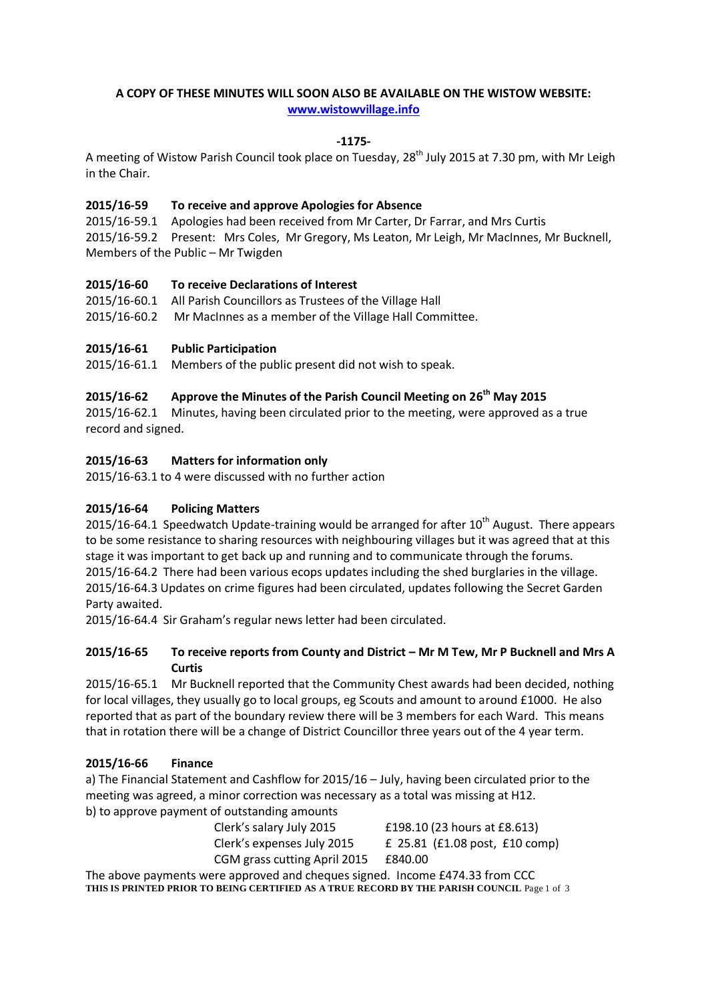# **A COPY OF THESE MINUTES WILL SOON ALSO BE AVAILABLE ON THE WISTOW WEBSITE: [www.wistowvillage.info](http://www.wistowvillage.info/)**

## **-1175-**

A meeting of Wistow Parish Council took place on Tuesday, 28<sup>th</sup> July 2015 at 7.30 pm, with Mr Leigh in the Chair.

# **2015/16-59 To receive and approve Apologies for Absence**

2015/16-59.1 Apologies had been received from Mr Carter, Dr Farrar, and Mrs Curtis 2015/16-59.2 Present: Mrs Coles, Mr Gregory, Ms Leaton, Mr Leigh, Mr MacInnes, Mr Bucknell, Members of the Public – Mr Twigden

#### **2015/16-60 To receive Declarations of Interest**

2015/16-60.1 All Parish Councillors as Trustees of the Village Hall 2015/16-60.2 Mr MacInnes as a member of the Village Hall Committee.

# **2015/16-61 Public Participation**

2015/16-61.1 Members of the public present did not wish to speak.

# **2015/16-62 Approve the Minutes of the Parish Council Meeting on 26 th May 2015**

2015/16-62.1 Minutes, having been circulated prior to the meeting, were approved as a true record and signed.

# **2015/16-63 Matters for information only**

2015/16-63.1 to 4 were discussed with no further action

#### **2015/16-64 Policing Matters**

2015/16-64.1 Speedwatch Update-training would be arranged for after  $10^{th}$  August. There appears to be some resistance to sharing resources with neighbouring villages but it was agreed that at this stage it was important to get back up and running and to communicate through the forums. 2015/16-64.2 There had been various ecops updates including the shed burglaries in the village. 2015/16-64.3 Updates on crime figures had been circulated, updates following the Secret Garden Party awaited.

2015/16-64.4 Sir Graham's regular news letter had been circulated.

# **2015/16-65 To receive reports from County and District – Mr M Tew, Mr P Bucknell and Mrs A Curtis**

2015/16-65.1 Mr Bucknell reported that the Community Chest awards had been decided, nothing for local villages, they usually go to local groups, eg Scouts and amount to around £1000. He also reported that as part of the boundary review there will be 3 members for each Ward. This means that in rotation there will be a change of District Councillor three years out of the 4 year term.

#### **2015/16-66 Finance**

a) The Financial Statement and Cashflow for 2015/16 – July, having been circulated prior to the meeting was agreed, a minor correction was necessary as a total was missing at H12. b) to approve payment of outstanding amounts

| £198.10 (23 hours at £8.613)                     |
|--------------------------------------------------|
| £ 25.81 $(f1.08 \text{ post}, f10 \text{ comp})$ |
| £840.00                                          |
|                                                  |

The above payments were approved and cheques signed. Income £474.33 from CCC **THIS IS PRINTED PRIOR TO BEING CERTIFIED AS A TRUE RECORD BY THE PARISH COUNCIL** Page 1 of 3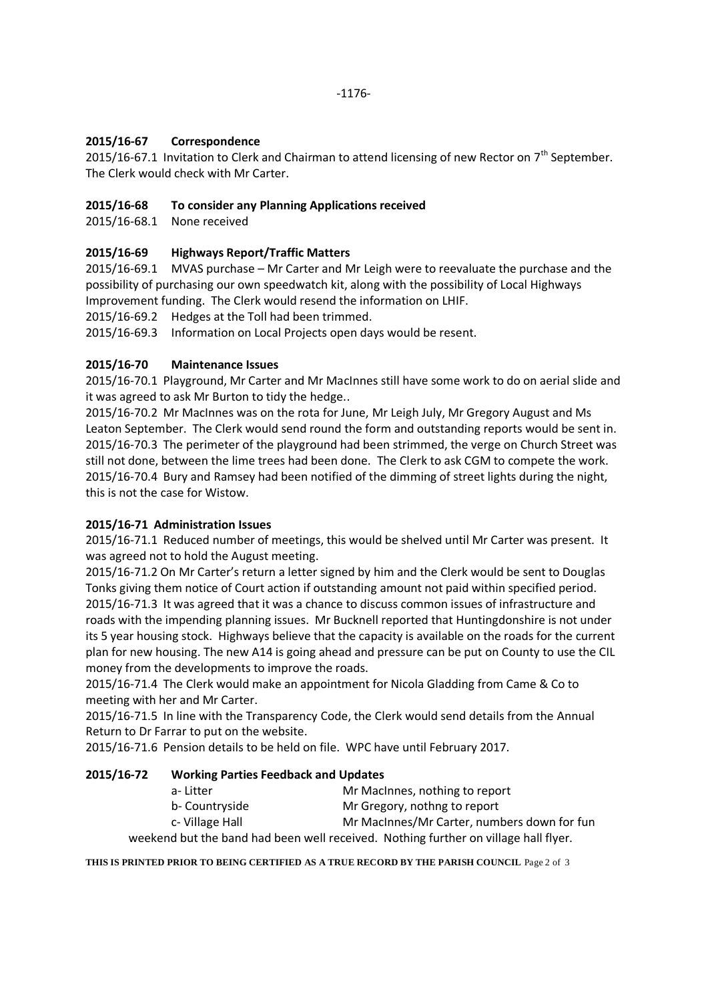# **2015/16-67 Correspondence**

2015/16-67.1 Invitation to Clerk and Chairman to attend licensing of new Rector on  $7<sup>th</sup>$  September. The Clerk would check with Mr Carter.

## **2015/16-68 To consider any Planning Applications received**

2015/16-68.1 None received

# **2015/16-69 Highways Report/Traffic Matters**

2015/16-69.1 MVAS purchase – Mr Carter and Mr Leigh were to reevaluate the purchase and the possibility of purchasing our own speedwatch kit, along with the possibility of Local Highways Improvement funding. The Clerk would resend the information on LHIF.

2015/16-69.2 Hedges at the Toll had been trimmed.

2015/16-69.3 Information on Local Projects open days would be resent.

# **2015/16-70 Maintenance Issues**

2015/16-70.1 Playground, Mr Carter and Mr MacInnes still have some work to do on aerial slide and it was agreed to ask Mr Burton to tidy the hedge..

2015/16-70.2 Mr MacInnes was on the rota for June, Mr Leigh July, Mr Gregory August and Ms Leaton September. The Clerk would send round the form and outstanding reports would be sent in. 2015/16-70.3 The perimeter of the playground had been strimmed, the verge on Church Street was still not done, between the lime trees had been done. The Clerk to ask CGM to compete the work. 2015/16-70.4 Bury and Ramsey had been notified of the dimming of street lights during the night, this is not the case for Wistow.

#### **2015/16-71 Administration Issues**

2015/16-71.1 Reduced number of meetings, this would be shelved until Mr Carter was present. It was agreed not to hold the August meeting.

2015/16-71.2 On Mr Carter's return a letter signed by him and the Clerk would be sent to Douglas Tonks giving them notice of Court action if outstanding amount not paid within specified period. 2015/16-71.3 It was agreed that it was a chance to discuss common issues of infrastructure and roads with the impending planning issues. Mr Bucknell reported that Huntingdonshire is not under its 5 year housing stock. Highways believe that the capacity is available on the roads for the current plan for new housing. The new A14 is going ahead and pressure can be put on County to use the CIL money from the developments to improve the roads.

2015/16-71.4 The Clerk would make an appointment for Nicola Gladding from Came & Co to meeting with her and Mr Carter.

2015/16-71.5 In line with the Transparency Code, the Clerk would send details from the Annual Return to Dr Farrar to put on the website.

2015/16-71.6 Pension details to be held on file. WPC have until February 2017.

| 2015/16-72 | <b>Working Parties Feedback and Updates</b> |                                                                                     |  |
|------------|---------------------------------------------|-------------------------------------------------------------------------------------|--|
|            | a-Litter                                    | Mr MacInnes, nothing to report                                                      |  |
|            | b- Countryside                              | Mr Gregory, nothng to report                                                        |  |
|            | c-Village Hall                              | Mr MacInnes/Mr Carter, numbers down for fun                                         |  |
|            |                                             | weekend but the band had been well received. Nothing further on village hall flyer. |  |

**THIS IS PRINTED PRIOR TO BEING CERTIFIED AS A TRUE RECORD BY THE PARISH COUNCIL** Page 2 of 3